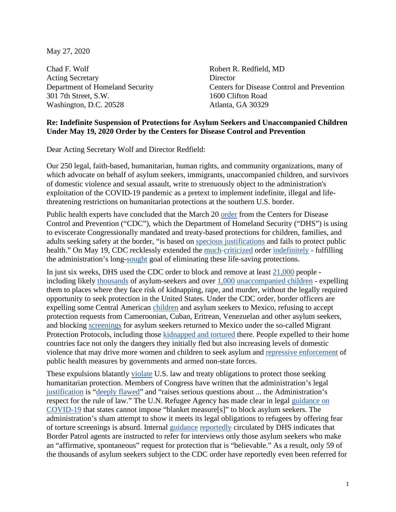May 27, 2020

Chad F. Wolf Robert R. Redfield, MD Acting Secretary Director 301 7th Street, S.W. 1600 Clifton Road Washington, D.C. 20528 Atlanta, GA 30329

Department of Homeland Security Centers for Disease Control and Prevention

## **Re: Indefinite Suspension of Protections for Asylum Seekers and Unaccompanied Children Under May 19, 2020 Order by the Centers for Disease Control and Prevention**

Dear Acting Secretary Wolf and Director Redfield:

Our 250 legal, faith-based, humanitarian, human rights, and community organizations, many of which advocate on behalf of asylum seekers, immigrants, unaccompanied children, and survivors of domestic violence and sexual assault, write to strenuously object to the administration's exploitation of the COVID-19 pandemic as a pretext to implement indefinite, illegal and lifethreatening restrictions on humanitarian protections at the southern U.S. border.

Public health experts have concluded that the March 20 [order](https://www.govinfo.gov/content/pkg/FR-2020-03-26/pdf/2020-06327.pdf) from the Centers for Disease Control and Prevention ("CDC"), which the Department of Homeland Security ("DHS") is using to eviscerate Congressionally mandated and treaty-based protections for children, families, and adults seeking safety at the border, "is based on [specious justifications](https://www.publichealth.columbia.edu/public-health-now/news/public-health-experts-urge-us-officials-withdraw-order-enabling-mass-expulsion-asylum-seekers) and fails to protect public health." On May 19, CDC recklessly extended the [much-](https://www.justsecurity.org/69747/there-is-no-public-health-rationale-for-a-categorical-ban-on-asylum-seekers/)[criticized](https://www.nytimes.com/2020/05/11/opinion/trump-coronavirus-immigration.html) order [indefinitely](https://www.cdc.gov/quarantine/pdf/CDC-265-Order-Renewal_5-19-20-p.pdf) - fulfilling the administration's long[-sought](https://www.nytimes.com/2020/05/03/us/coronavirus-immigration-stephen-miller-public-health.html) goal of eliminating these life-saving protections.

In just six weeks, DHS used the CDC order to block and remove at least [21,000](https://www.cbp.gov/newsroom/stats/cbp-enforcement-statistics/title-8-and-title-42-statistics) people including likely [thousands](https://www.humanrightsfirst.org/resource/pandemic-pretext-trump-administration-exploits-covid-19-expels-asylum-seekers-and-children) of asylum-seekers and over [1,000](https://www.humanrightsfirst.org/resource/pandemic-pretext-trump-administration-exploits-covid-19-expels-asylum-seekers-and-children) [unaccompanied children](https://www.nytimes.com/2020/05/20/us/coronavirus-migrant-children-unaccompanied-minors.html) - expelling them to places where they face risk of kidnapping, rape, and murder, without the legally required opportunity to seek protection in the United States. Under the CDC order, border officers are expelling some Central American [children](https://supportkind.org/wp-content/uploads/2019/11/Protection-Gauntlet_12-21-18-FINAL.pdf) and asylum seekers to Mexico, refusing to accept protection requests from Cameroonian, Cuban, Eritrean, Venezuelan and other asylum seekers, and blocking [screenings](https://www.humanrightsfirst.org/resource/pandemic-pretext-trump-administration-exploits-covid-19-expels-asylum-seekers-and-children) for asylum seekers returned to Mexico under the so-called Migrant Protection Protocols, including those [kidnapped and tortured](https://www.law360.com/texas/articles/1272754/-remain-in-mexico-changes-spark-confusion-at-the-border) there. People expelled to their home countries face not only the dangers they initially fled but also increasing levels of domestic violence that may drive more women and children to seek asylum and [repressive enforcement](https://www.lawg.org/wp-content/uploads/COVID-19-in-Latin-America-memo-LAWG-April-30.pdf) of public health measures by governments and armed non-state forces.

These expulsions blatantly [violate](https://www.justsecurity.org/70192/the-trump-administrations-indefensible-legal-defense-of-its-asylum-ban/) U.S. law and treaty obligations to protect those seeking humanitarian protection. Members of Congress have written that the administration's legal [justification](https://foreignaffairs.house.gov/_cache/files/1/5/15b9fb59-24f7-44e1-a8dd-b438072a8cc7/40C6CAE6BA2441181901371E291682E4.april-24-opinion.pdf) is ["deeply flawed"](https://foreignaffairs.house.gov/_cache/files/0/9/09edea3d-6ec9-4d13-bf16-890da17466da/1481CCA5405564F3519053090EC2B236.5-12-2020.ele-thompson-nadler-menendez-letter-to-pompeo-azar-wolf-on-covid-asylum-ban-pdf.pdf) and "raises serious questions about ... the Administration's respect for the rule of law." The U.N. Refugee Agency has made clear in lega[l](https://www.refworld.org/docid/5e7132834.html) [guidance on](https://www.refworld.org/docid/5e7132834.html)  [COVID-19](https://www.refworld.org/docid/5e7132834.html) that states cannot impose "blanket measure[s]" to block asylum seekers. The administration's sham attempt to show it meets its legal obligations to refugees by offering fear of torture screenings is absurd. Internal [guidance](https://www.documentcloud.org/documents/6824221-COVID-19-CAPIO.html) [reportedly](https://www.propublica.org/article/leaked-border-patrol-memo-tells-agents-to-send-migrants-back-immediately-ignoring-asylum-law) circulated by DHS indicates that Border Patrol agents are instructed to refer for interviews only those asylum seekers who make an "affirmative, spontaneous" request for protection that is "believable." As a result, only 59 of the thousands of asylum seekers subject to the CDC order have reportedly even been referred for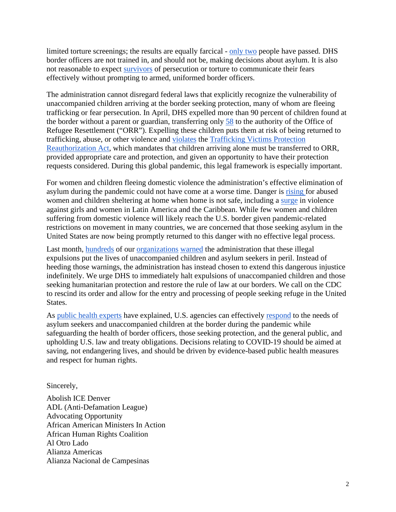limited torture screenings; the results are equally farcical - [only two](https://www.washingtonpost.com/immigration/border-refuge-trump-records/2020/05/13/93ea9ed6-951c-11ea-8107-acde2f7a8d6e_story.html) people have passed. DHS border officers are not trained in, and should not be, making decisions about asylum. It is also not reasonable to expect [survivors](https://pubmed.ncbi.nlm.nih.gov/9246254/) of persecution or torture to communicate their fears effectively without prompting to armed, uniformed border officers.

The administration cannot disregard federal laws that explicitly recognize the vulnerability of unaccompanied children arriving at the border seeking protection, many of whom are fleeing trafficking or fear persecution. In April, DHS expelled more than 90 percent of children found at the border without a parent or guardian, transferring only [58](https://twitter.com/camiloreports/status/1262421652324921349) to the authority of the Office of Refugee Resettlement ("ORR"). Expelling these children puts them at risk of being returned to trafficking, abuse, or other violence and [violates](https://judiciary.house.gov/uploadedfiles/3.30.2020_letter_to_dhs_re_tvpra.pdf) the [Trafficking Victims Protection](https://uscode.house.gov/view.xhtml?req=(title:8%20section:1232%20edition:prelim))  [Reauthorization Act,](https://uscode.house.gov/view.xhtml?req=(title:8%20section:1232%20edition:prelim)) which mandates that children arriving alone must be transferred to ORR, provided appropriate care and protection, and given an opportunity to have their protection requests considered. During this global pandemic, this legal framework is especially important.

For women and children fleeing domestic violence the administration's effective elimination of asylum during the pandemic could not have come at a worse time. Danger is [rising](https://gbvguidelines.org/wp/wp-content/uploads/2020/04/Interagency-GBV-risk-mitigation-and-Covid-tipsheet.pdf) for abused women and children sheltering at home when home is not safe, including a [surge](https://reliefweb.int/report/world/surge-violence-against-girls-and-women-latin-america-and-caribbean) in violence against girls and women in Latin America and the Caribbean. While few women and children suffering from domestic violence will likely reach the U.S. border given pandemic-related restrictions on movement in many countries, we are concerned that those seeking asylum in the United States are now being promptly returned to this danger with no effective legal process.

Last month, [hundreds](https://cgrs.uchastings.edu/sites/default/files/Letter%20to%20DHS%20-%20Border%20Closure%20DV%20Survivors_4_16_2020%20Corrected.pdf) of our [organizations](https://www.humanrightsfirst.org/sites/default/files/LetteronDHSExpulsionsUnderCDCOrder.pdf) [warned](https://supportkind.org/wp-content/uploads/2020/04/Organizational-Sign-on-Letter-Regarding-UAC-Expulsions-4.16.20.pdf) the administration that these illegal expulsions put the lives of unaccompanied children and asylum seekers in peril. Instead of heeding those warnings, the administration has instead chosen to extend this dangerous injustice indefinitely. We urge DHS to immediately halt expulsions of unaccompanied children and those seeking humanitarian protection and restore the rule of law at our borders. We call on the CDC to rescind its order and allow for the entry and processing of people seeking refuge in the United States.

As [public health experts](https://www.publichealth.columbia.edu/public-health-now/news/public-health-experts-urge-us-officials-withdraw-order-enabling-mass-expulsion-asylum-seekers) have explained, U.S. agencies can effectively [respond](https://www.humanrightsfirst.org/resource/public-health-measures-safely-manage-asylum-seekers-and-children-border) to the needs of asylum seekers and unaccompanied children at the border during the pandemic while safeguarding the health of border officers, those seeking protection, and the general public, and upholding U.S. law and treaty obligations. Decisions relating to COVID-19 should be aimed at saving, not endangering lives, and should be driven by evidence-based public health measures and respect for human rights.

Sincerely,

Abolish ICE Denver ADL (Anti-Defamation League) Advocating Opportunity African American Ministers In Action African Human Rights Coalition Al Otro Lado Alianza Americas Alianza Nacional de Campesinas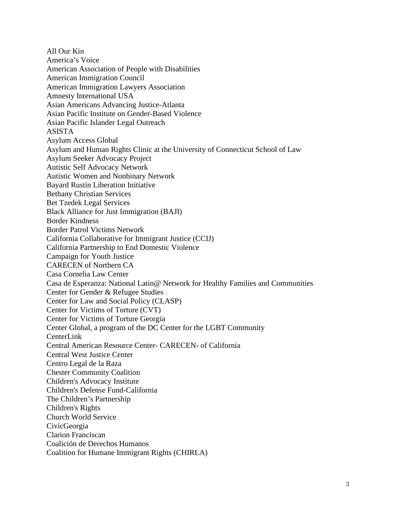All Our Kin America's Voice American Association of People with Disabilities American Immigration Council American Immigration Lawyers Association Amnesty International USA Asian Americans Advancing Justice-Atlanta Asian Pacific Institute on Gender-Based Violence Asian Pacific Islander Legal Outreach ASISTA Asylum Access Global Asylum and Human Rights Clinic at the University of Connecticut School of Law Asylum Seeker Advocacy Project Autistic Self Advocacy Network Autistic Women and Nonbinary Network Bayard Rustin Liberation Initiative Bethany Christian Services Bet Tzedek Legal Services Black Alliance for Just Immigration (BAJI) Border Kindness Border Patrol Victims Network California Collaborative for Immigrant Justice (CCIJ) California Partnership to End Domestic Violence Campaign for Youth Justice CARECEN of Northern CA Casa Cornelia Law Center Casa de Esperanza: National Latin@ Network for Healthy Families and Communities Center for Gender & Refugee Studies Center for Law and Social Policy (CLASP) Center for Victims of Torture (CVT) Center for Victims of Torture Georgia Center Global, a program of the DC Center for the LGBT Community CenterLink Central American Resource Center- CARECEN- of California Central West Justice Center Centro Legal de la Raza Chester Community Coalition Children's Advocacy Institute Children's Defense Fund-California The Children's Partnership Children's Rights Church World Service CivicGeorgia Clarion Franciscan Coalición de Derechos Humanos Coalition for Humane Immigrant Rights (CHIRLA)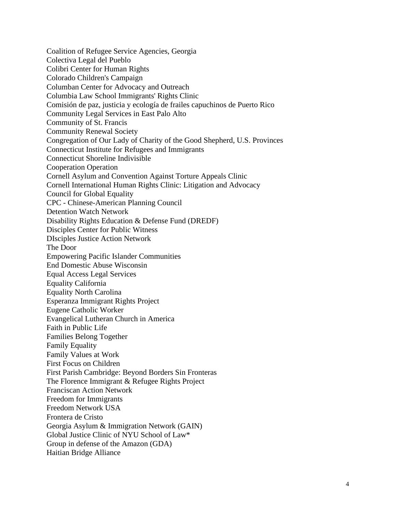Coalition of Refugee Service Agencies, Georgia Colectiva Legal del Pueblo Colibri Center for Human Rights Colorado Children's Campaign Columban Center for Advocacy and Outreach Columbia Law School Immigrants' Rights Clinic Comisión de paz, justicia y ecología de frailes capuchinos de Puerto Rico Community Legal Services in East Palo Alto Community of St. Francis Community Renewal Society Congregation of Our Lady of Charity of the Good Shepherd, U.S. Provinces Connecticut Institute for Refugees and Immigrants Connecticut Shoreline Indivisible Cooperation Operation Cornell Asylum and Convention Against Torture Appeals Clinic Cornell International Human Rights Clinic: Litigation and Advocacy Council for Global Equality CPC - Chinese-American Planning Council Detention Watch Network Disability Rights Education & Defense Fund (DREDF) Disciples Center for Public Witness DIsciples Justice Action Network The Door Empowering Pacific Islander Communities End Domestic Abuse Wisconsin Equal Access Legal Services Equality California Equality North Carolina Esperanza Immigrant Rights Project Eugene Catholic Worker Evangelical Lutheran Church in America Faith in Public Life Families Belong Together Family Equality Family Values at Work First Focus on Children First Parish Cambridge: Beyond Borders Sin Fronteras The Florence Immigrant & Refugee Rights Project Franciscan Action Network Freedom for Immigrants Freedom Network USA Frontera de Cristo Georgia Asylum & Immigration Network (GAIN) Global Justice Clinic of NYU School of Law\* Group in defense of the Amazon (GDA) Haitian Bridge Alliance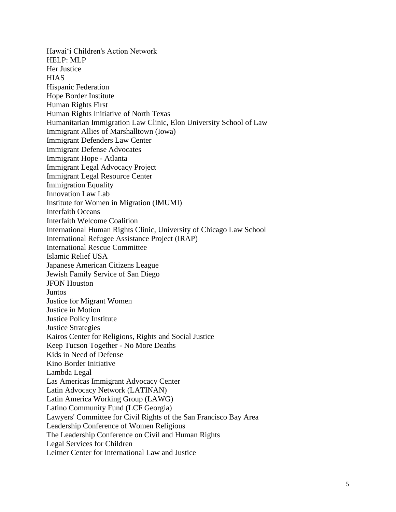Hawaiʻi Children's Action Network HELP: MLP Her Justice **HIAS** Hispanic Federation Hope Border Institute Human Rights First Human Rights Initiative of North Texas Humanitarian Immigration Law Clinic, Elon University School of Law Immigrant Allies of Marshalltown (Iowa) Immigrant Defenders Law Center Immigrant Defense Advocates Immigrant Hope - Atlanta Immigrant Legal Advocacy Project Immigrant Legal Resource Center Immigration Equality Innovation Law Lab Institute for Women in Migration (IMUMI) Interfaith Oceans Interfaith Welcome Coalition International Human Rights Clinic, University of Chicago Law School International Refugee Assistance Project (IRAP) International Rescue Committee Islamic Relief USA Japanese American Citizens League Jewish Family Service of San Diego JFON Houston Juntos Justice for Migrant Women Justice in Motion Justice Policy Institute Justice Strategies Kairos Center for Religions, Rights and Social Justice Keep Tucson Together - No More Deaths Kids in Need of Defense Kino Border Initiative Lambda Legal Las Americas Immigrant Advocacy Center Latin Advocacy Network (LATINAN) Latin America Working Group (LAWG) Latino Community Fund (LCF Georgia) Lawyers' Committee for Civil Rights of the San Francisco Bay Area Leadership Conference of Women Religious The Leadership Conference on Civil and Human Rights Legal Services for Children Leitner Center for International Law and Justice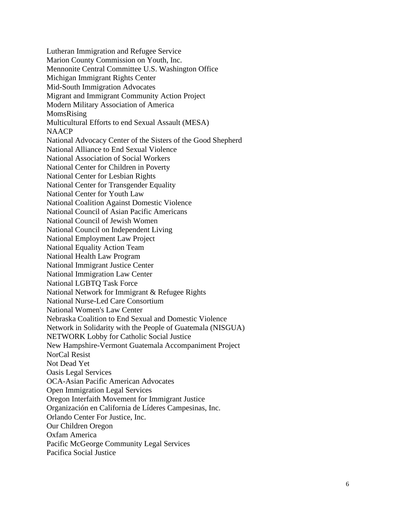Lutheran Immigration and Refugee Service Marion County Commission on Youth, Inc. Mennonite Central Committee U.S. Washington Office Michigan Immigrant Rights Center Mid -South Immigration Advocates Migrant and Immigrant Community Action Project Modern Military Association of America MomsRising Multicultural Efforts to end Sexual Assault (MESA) NAACP National Advocacy Center of the Sisters of the Good Shepherd National Alliance to End Sexual Violence National Association of Social Workers National Center for Children in Poverty National Center for Lesbian Rights National Center for Transgender Equality National Center for Youth Law National Coalition Against Domestic Violence National Council of Asian Pacific Americans National Council of Jewish Women National Council on Independent Living National Employment Law Project National Equality Action Team National Health Law Program National Immigrant Justice Center National Immigration Law Center National LGBTQ Task Force National Network for Immigrant & Refugee Rights National Nurse -Led Care Consortium National Women's Law Center Nebraska Coalition to End Sexual and Domestic Violence Network in Solidarity with the People of Guatemala (NISGUA) NETWORK Lobby for Catholic Social Justice New Hampshire -Vermont Guatemala Accompaniment Project NorCal Resist Not Dead Yet Oasis Legal Services OCA -Asian Pacific American Advocates Open Immigration Legal Services Oregon Interfaith Movement for Immigrant Justice Organización en California de Líderes Campesinas, Inc. Orlando Center For Justice, Inc. Our Children Oregon Oxfam America Pacific McGeorge Community Legal Services Pacifica Social Justice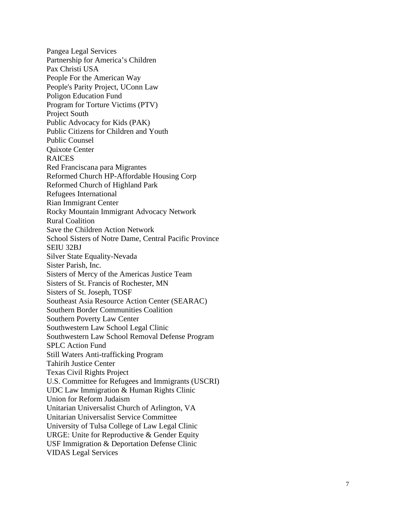Pangea Legal Services Partnership for America's Children Pax Christi USA People For the American Way People's Parity Project, UConn Law Poligon Education Fund Program for Torture Victims (PTV) Project South Public Advocacy for Kids (PAK) Public Citizens for Children and Youth Public Counsel Quixote Center RAICES Red Franciscana para Migrantes Reformed Church HP -Affordable Housing Corp Reformed Church of Highland Park Refugees International Rian Immigrant Center Rocky Mountain Immigrant Advocacy Network Rural Coalition Save the Children Action Network School Sisters of Notre Dame, Central Pacific Province SEIU 32BJ Silver State Equality -Nevada Sister Parish, Inc. Sisters of Mercy of the Americas Justice Team Sisters of St. Francis of Rochester, MN Sisters of St. Joseph, TOSF Southeast Asia Resource Action Center (SEARAC) Southern Border Communities Coalition Southern Poverty Law Center Southwestern Law School Legal Clinic Southwestern Law School Removal Defense Program SPLC Action Fund Still Waters Anti -trafficking Program Tahirih Justice Center Texas Civil Rights Project U.S. Committee for Refugees and Immigrants (USCRI) UDC Law Immigration & Human Rights Clinic Union for Reform Judaism Unitarian Universalist Church of Arlington, VA Unitarian Universalist Service Committee University of Tulsa College of Law Legal Clinic URGE: Unite for Reproductive & Gender Equity USF Immigration & Deportation Defense Clinic VIDAS Legal Services